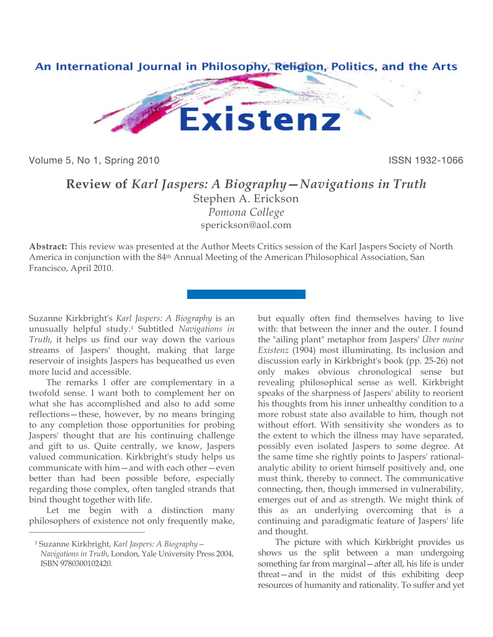

Volume 5, No 1, Spring 2010 **ISSN 1932-1066** ISSN 1932-1066

## **Review of** *Karl Jaspers: A Biography—Navigations in Truth*

Stephen A. Erickson *Pomona College* [sperickson@aol.com](mailto:sperickson@aol.com)

**Abstract:** This review was presented at the Author Meets Critics session of the Karl Jaspers Society of North America in conjunction with the 84th Annual Meeting of the American Philosophical Association, San Francisco, April 2010.

Suzanne Kirkbright's *Karl Jaspers: A Biography* is an unusually helpful study.1 Subtitled *Navigations in Truth*, it helps us find our way down the various streams of Jaspers' thought, making that large reservoir of insights Jaspers has bequeathed us even more lucid and accessible.

The remarks I offer are complementary in a twofold sense. I want both to complement her on what she has accomplished and also to add some reflections—these, however, by no means bringing to any completion those opportunities for probing Jaspers' thought that are his continuing challenge and gift to us. Quite centrally, we know, Jaspers valued communication. Kirkbright's study helps us communicate with him—and with each other—even better than had been possible before, especially regarding those complex, often tangled strands that bind thought together with life.

Let me begin with a distinction many philosophers of existence not only frequently make,

 $\overline{a}$ 

but equally often find themselves having to live with: that between the inner and the outer. I found the "ailing plant" metaphor from Jaspers' *Über meine Existenz* (1904) most illuminating. Its inclusion and discussion early in Kirkbright's book (pp. 25-26) not only makes obvious chronological sense but revealing philosophical sense as well. Kirkbright speaks of the sharpness of Jaspers' ability to reorient his thoughts from his inner unhealthy condition to a more robust state also available to him, though not without effort. With sensitivity she wonders as to the extent to which the illness may have separated, possibly even isolated Jaspers to some degree. At the same time she rightly points to Jaspers' rationalanalytic ability to orient himself positively and, one must think, thereby to connect. The communicative connecting, then, though immersed in vulnerability, emerges out of and as strength. We might think of this as an underlying overcoming that is a continuing and paradigmatic feature of Jaspers' life and thought.

The picture with which Kirkbright provides us shows us the split between a man undergoing something far from marginal—after all, his life is under threat—and in the midst of this exhibiting deep resources of humanity and rationality. To suffer and yet

<sup>1</sup> Suzanne Kirkbright, *Karl Jaspers: A Biography— Navigations in Truth*, London, Yale University Press 2004, ISBN 9780300102420.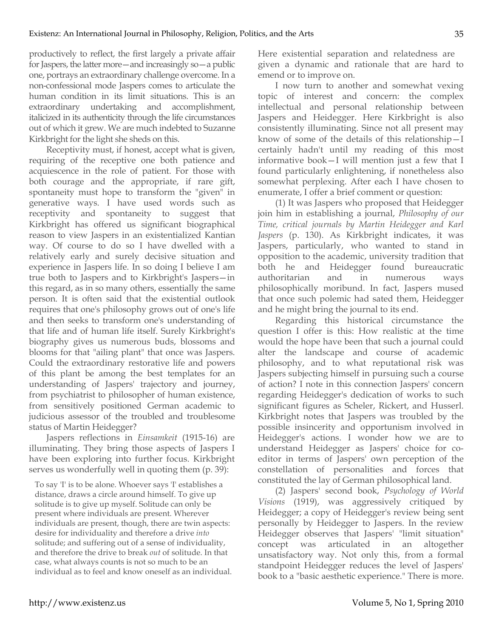productively to reflect, the first largely a private affair for Jaspers, the latter more—and increasingly so—a public one, portrays an extraordinary challenge overcome. In a non-confessional mode Jaspers comes to articulate the human condition in its limit situations. This is an extraordinary undertaking and accomplishment, italicized in its authenticity through the life circumstances out of which it grew. We are much indebted to Suzanne Kirkbright for the light she sheds on this.

Receptivity must, if honest, accept what is given, requiring of the receptive one both patience and acquiescence in the role of patient. For those with both courage and the appropriate, if rare gift, spontaneity must hope to transform the "given" in generative ways. I have used words such as receptivity and spontaneity to suggest that Kirkbright has offered us significant biographical reason to view Jaspers in an existentialized Kantian way. Of course to do so I have dwelled with a relatively early and surely decisive situation and experience in Jaspers life. In so doing I believe I am true both to Jaspers and to Kirkbright's Jaspers—in this regard, as in so many others, essentially the same person. It is often said that the existential outlook requires that one's philosophy grows out of one's life and then seeks to transform one's understanding of that life and of human life itself. Surely Kirkbright's biography gives us numerous buds, blossoms and blooms for that "ailing plant" that once was Jaspers. Could the extraordinary restorative life and powers of this plant be among the best templates for an understanding of Jaspers' trajectory and journey, from psychiatrist to philosopher of human existence, from sensitively positioned German academic to judicious assessor of the troubled and troublesome status of Martin Heidegger?

Jaspers reflections in *Einsamkeit* (1915-16) are illuminating. They bring those aspects of Jaspers I have been exploring into further focus. Kirkbright serves us wonderfully well in quoting them (p. 39):

To say 'I' is to be alone. Whoever says 'I' establishes a distance, draws a circle around himself. To give up solitude is to give up myself. Solitude can only be present where individuals are present. Wherever individuals are present, though, there are twin aspects: desire for individuality and therefore a drive *into* solitude; and suffering out of a sense of individuality, and therefore the drive to break *out* of solitude. In that case, what always counts is not so much to be an individual as to feel and know oneself as an individual. Here existential separation and relatedness are given a dynamic and rationale that are hard to emend or to improve on.

I now turn to another and somewhat vexing topic of interest and concern: the complex intellectual and personal relationship between Jaspers and Heidegger. Here Kirkbright is also consistently illuminating. Since not all present may know of some of the details of this relationship—I certainly hadn't until my reading of this most informative book—I will mention just a few that I found particularly enlightening, if nonetheless also somewhat perplexing. After each I have chosen to enumerate, I offer a brief comment or question:

(1) It was Jaspers who proposed that Heidegger join him in establishing a journal, *Philosophy of our Time, critical journals by Martin Heidegger and Karl Jaspers* (p. 130). As Kirkbright indicates, it was Jaspers, particularly, who wanted to stand in opposition to the academic, university tradition that both he and Heidegger found bureaucratic authoritarian and in numerous ways philosophically moribund. In fact, Jaspers mused that once such polemic had sated them, Heidegger and he might bring the journal to its end.

Regarding this historical circumstance the question I offer is this: How realistic at the time would the hope have been that such a journal could alter the landscape and course of academic philosophy, and to what reputational risk was Jaspers subjecting himself in pursuing such a course of action? I note in this connection Jaspers' concern regarding Heidegger's dedication of works to such significant figures as Scheler, Rickert, and Husserl. Kirkbright notes that Jaspers was troubled by the possible insincerity and opportunism involved in Heidegger's actions. I wonder how we are to understand Heidegger as Jaspers' choice for coeditor in terms of Jaspers' own perception of the constellation of personalities and forces that constituted the lay of German philosophical land.

(2) Jaspers' second book, *Psychology of World Visions* (1919), was aggressively critiqued by Heidegger; a copy of Heidegger's review being sent personally by Heidegger to Jaspers. In the review Heidegger observes that Jaspers' "limit situation" concept was articulated in an altogether unsatisfactory way. Not only this, from a formal standpoint Heidegger reduces the level of Jaspers' book to a "basic aesthetic experience." There is more.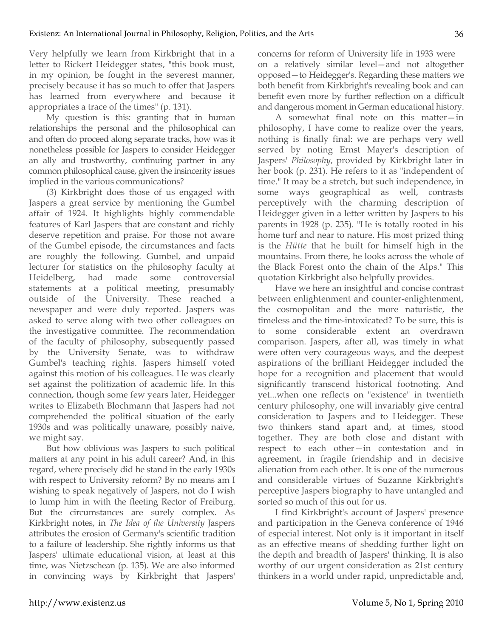Very helpfully we learn from Kirkbright that in a letter to Rickert Heidegger states, "this book must, in my opinion, be fought in the severest manner, precisely because it has so much to offer that Jaspers has learned from everywhere and because it appropriates a trace of the times" (p. 131).

My question is this: granting that in human relationships the personal and the philosophical can and often do proceed along separate tracks, how was it nonetheless possible for Jaspers to consider Heidegger an ally and trustworthy, continuing partner in any common philosophical cause, given the insincerity issues implied in the various communications?

(3) Kirkbright does those of us engaged with Jaspers a great service by mentioning the Gumbel affair of 1924. It highlights highly commendable features of Karl Jaspers that are constant and richly deserve repetition and praise. For those not aware of the Gumbel episode, the circumstances and facts are roughly the following. Gumbel, and unpaid lecturer for statistics on the philosophy faculty at Heidelberg, had made some controversial statements at a political meeting, presumably outside of the University. These reached a newspaper and were duly reported. Jaspers was asked to serve along with two other colleagues on the investigative committee. The recommendation of the faculty of philosophy, subsequently passed by the University Senate, was to withdraw Gumbel's teaching rights. Jaspers himself voted against this motion of his colleagues. He was clearly set against the politization of academic life. In this connection, though some few years later, Heidegger writes to Elizabeth Blochmann that Jaspers had not comprehended the political situation of the early 1930s and was politically unaware, possibly naive, we might say.

But how oblivious was Jaspers to such political matters at any point in his adult career? And, in this regard, where precisely did he stand in the early 1930s with respect to University reform? By no means am I wishing to speak negatively of Jaspers, not do I wish to lump him in with the fleeting Rector of Freiburg. But the circumstances are surely complex. As Kirkbright notes, in *The Idea of the University* Jaspers attributes the erosion of Germany's scientific tradition to a failure of leadership. She rightly informs us that Jaspers' ultimate educational vision, at least at this time, was Nietzschean (p. 135). We are also informed in convincing ways by Kirkbright that Jaspers'

concerns for reform of University life in 1933 were on a relatively similar level—and not altogether opposed—to Heidegger's. Regarding these matters we both benefit from Kirkbright's revealing book and can benefit even more by further reflection on a difficult and dangerous moment in German educational history.

A somewhat final note on this matter—in philosophy, I have come to realize over the years, nothing is finally final: we are perhaps very well served by noting Ernst Mayer's description of Jaspers' *Philosophy*, provided by Kirkbright later in her book (p. 231). He refers to it as "independent of time." It may be a stretch, but such independence, in some ways geographical as well, contrasts perceptively with the charming description of Heidegger given in a letter written by Jaspers to his parents in 1928 (p. 235). "He is totally rooted in his home turf and near to nature. His most prized thing is the *Hütte* that he built for himself high in the mountains. From there, he looks across the whole of the Black Forest onto the chain of the Alps." This quotation Kirkbright also helpfully provides.

Have we here an insightful and concise contrast between enlightenment and counter-enlightenment, the cosmopolitan and the more naturistic, the timeless and the time-intoxicated? To be sure, this is to some considerable extent an overdrawn comparison. Jaspers, after all, was timely in what were often very courageous ways, and the deepest aspirations of the brilliant Heidegger included the hope for a recognition and placement that would significantly transcend historical footnoting. And yet...when one reflects on "existence" in twentieth century philosophy, one will invariably give central consideration to Jaspers and to Heidegger. These two thinkers stand apart and, at times, stood together. They are both close and distant with respect to each other—in contestation and in agreement, in fragile friendship and in decisive alienation from each other. It is one of the numerous and considerable virtues of Suzanne Kirkbright's perceptive Jaspers biography to have untangled and sorted so much of this out for us.

I find Kirkbright's account of Jaspers' presence and participation in the Geneva conference of 1946 of especial interest. Not only is it important in itself as an effective means of shedding further light on the depth and breadth of Jaspers' thinking. It is also worthy of our urgent consideration as 21st century thinkers in a world under rapid, unpredictable and,